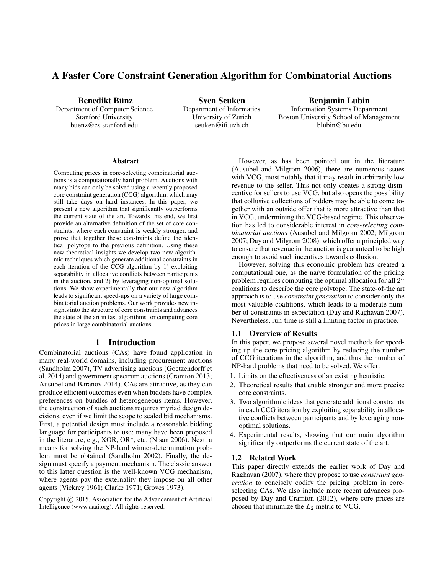# A Faster Core Constraint Generation Algorithm for Combinatorial Auctions

Benedikt Bünz

Department of Computer Science Stanford University buenz@cs.stanford.edu

Sven Seuken Department of Informatics University of Zurich seuken@ifi.uzh.ch

Benjamin Lubin Information Systems Department Boston University School of Management blubin@bu.edu

#### Abstract

Computing prices in core-selecting combinatorial auctions is a computationally hard problem. Auctions with many bids can only be solved using a recently proposed core constraint generation (CCG) algorithm, which may still take days on hard instances. In this paper, we present a new algorithm that significantly outperforms the current state of the art. Towards this end, we first provide an alternative definition of the set of core constraints, where each constraint is weakly stronger, and prove that together these constraints define the identical polytope to the previous definition. Using these new theoretical insights we develop two new algorithmic techniques which generate additional constraints in each iteration of the CCG algorithm by 1) exploiting separability in allocative conflicts between participants in the auction, and 2) by leveraging non-optimal solutions. We show experimentally that our new algorithm leads to significant speed-ups on a variety of large combinatorial auction problems. Our work provides new insights into the structure of core constraints and advances the state of the art in fast algorithms for computing core prices in large combinatorial auctions.

## 1 Introduction

Combinatorial auctions (CAs) have found application in many real-world domains, including procurement auctions (Sandholm 2007), TV advertising auctions (Goetzendorff et al. 2014) and government spectrum auctions (Cramton 2013; Ausubel and Baranov 2014). CAs are attractive, as they can produce efficient outcomes even when bidders have complex preferences on bundles of heterogeneous items. However, the construction of such auctions requires myriad design decisions, even if we limit the scope to sealed bid mechanisms. First, a potential design must include a reasonable bidding language for participants to use; many have been proposed in the literature, e.g., XOR, OR\*, etc. (Nisan 2006). Next, a means for solving the NP-hard winner-determination problem must be obtained (Sandholm 2002). Finally, the design must specify a payment mechanism. The classic answer to this latter question is the well-known VCG mechanism, where agents pay the externality they impose on all other agents (Vickrey 1961; Clarke 1971; Groves 1973).

However, as has been pointed out in the literature (Ausubel and Milgrom 2006), there are numerous issues with VCG, most notably that it may result in arbitrarily low revenue to the seller. This not only creates a strong disincentive for sellers to use VCG, but also opens the possibility that collusive collections of bidders may be able to come together with an outside offer that is more attractive than that in VCG, undermining the VCG-based regime. This observation has led to considerable interest in *core-selecting combinatorial auctions* (Ausubel and Milgrom 2002; Milgrom 2007; Day and Milgrom 2008), which offer a principled way to ensure that revenue in the auction is guaranteed to be high enough to avoid such incentives towards collusion.

However, solving this economic problem has created a computational one, as the naïve formulation of the pricing problem requires computing the optimal allocation for all  $2^n$ coalitions to describe the core polytope. The state-of-the art approach is to use *constraint generation* to consider only the most valuable coalitions, which leads to a moderate number of constraints in expectation (Day and Raghavan 2007). Nevertheless, run-time is still a limiting factor in practice.

#### 1.1 Overview of Results

In this paper, we propose several novel methods for speeding up the core pricing algorithm by reducing the number of CCG iterations in the algorithm, and thus the number of NP-hard problems that need to be solved. We offer:

- 1. Limits on the effectiveness of an existing heuristic.
- 2. Theoretical results that enable stronger and more precise core constraints.
- 3. Two algorithmic ideas that generate additional constraints in each CCG iteration by exploiting separability in allocative conflicts between participants and by leveraging nonoptimal solutions.
- 4. Experimental results, showing that our main algorithm significantly outperforms the current state of the art.

## 1.2 Related Work

This paper directly extends the earlier work of Day and Raghavan (2007), where they propose to use *constraint generation* to concisely codify the pricing problem in coreselecting CAs. We also include more recent advances proposed by Day and Cramton (2012), where core prices are chosen that minimize the  $L_2$  metric to VCG.

Copyright (c) 2015, Association for the Advancement of Artificial Intelligence (www.aaai.org). All rights reserved.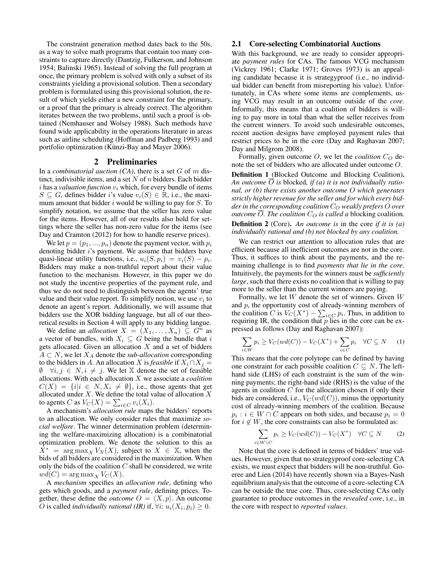The constraint generation method dates back to the 50s, as a way to solve math programs that contain too many constraints to capture directly (Dantzig, Fulkerson, and Johnson 1954; Balinski 1965). Instead of solving the full program at once, the primary problem is solved with only a subset of its constraints yielding a provisional solution. Then a secondary problem is formulated using this provisional solution, the result of which yields either a new constraint for the primary, or a proof that the primary is already correct. The algorithm iterates between the two problems, until such a proof is obtained (Nemhauser and Wolsey 1988). Such methods have found wide applicability in the operations literature in areas such as airline scheduling (Hoffman and Padberg 1993) and portfolio optimization (Künzi-Bay and Mayer 2006).

### 2 Preliminaries

In a *combinatorial auction (CA)*, there is a set G of m distinct, indivisible items, and a set  $N$  of  $n$  bidders. Each bidder  $i$  has a *valuation function*  $v_i$  which, for every bundle of items  $S \subseteq G$ , defines bidder i's value  $v_i(S) \in \mathbb{R}$ , i.e., the maximum amount that bidder  $i$  would be willing to pay for  $S$ . To simplify notation, we assume that the seller has zero value for the items. However, all of our results also hold for settings where the seller has non-zero value for the items (see Day and Cramton (2012) for how to handle reserve prices).

We let  $p = (p_1, ..., p_n)$  denote the payment vector, with  $p_i$ denoting bidder i's payment. We assume that bidders have quasi-linear utility functions, i.e.,  $u_i(S, p_i) = v_i(S) - p_i$ . Bidders may make a non-truthful report about their value function to the mechanism. However, in this paper we do not study the incentive properties of the payment rule, and thus we do not need to distinguish between the agents' true value and their value report. To simplify notion, we use  $v_i$  to denote an agent's report. Additionally, we will assume that bidders use the XOR bidding language, but all of our theoretical results in Section 4 will apply to any bidding langue.

We define an *allocation*  $X = (X_1, \ldots, X_n) \subseteq G^n$  as a vector of bundles, with  $X_i \subseteq G$  being the bundle that i gets allocated. Given an allocation  $X$  and a set of bidders  $A \subset N$ , we let  $X_A$  denote the *sub-allocation* corresponding to the bidders in A. An allocation X is *feasible* if  $X_i \cap X_j =$  $\emptyset$   $\forall i, j \in N, i \neq j$ . We let X denote the set of feasible allocations. With each allocation X we associate a *coalition*  $C(X) = \{i | i \in N, X_i \neq \emptyset\}$ , i.e., those agents that get allocated under  $X$ . We define the total value of allocation  $X$ to agents C as  $V_C(X) = \sum_{i \in C} v_i(X_i)$ .

A mechanism's *allocation rule* maps the bidders' reports to an allocation. We only consider rules that maximize *social welfare*. The winner determination problem (determining the welfare-maximizing allocation) is a combinatorial optimization problem. We denote the solution to this as  $\overline{X}^*$  = arg max<sub>X</sub>  $V_N(X)$ , subject to  $X \in \mathbb{X}$ , when the bids of all bidders are considered in the maximization. When only the bids of the coalition  $C$  shall be considered, we write  $wd(C) = \arg \max_{X} V_C(X).$ 

A *mechanism* specifies an *allocation rule*, defining who gets which goods, and a *payment rule*, defining prices. Together, these define the *outcome*  $O = \langle X, p \rangle$ . An outcome *O* is called *individually rational (IR)* if,  $\forall i$ :  $u_i(X_i, p_i) \geq 0$ .

### 2.1 Core-selecting Combinatorial Auctions

With this background, we are ready to consider appropriate *payment rules* for CAs. The famous VCG mechanism (Vickrey 1961; Clarke 1971; Groves 1973) is an appealing candidate because it is strategyproof (i.e., no individual bidder can benefit from misreporting his value). Unfortunately, in CAs where some items are complements, using VCG may result in an outcome outside of the *core*. Informally, this means that a coalition of bidders is willing to pay more in total than what the seller receives from the current winners. To avoid such undesirable outcomes, recent auction designs have employed payment rules that restrict prices to be in the core (Day and Raghavan 2007; Day and Milgrom 2008).

Formally, given outcome  $O$ , we let the *coalition*  $C_O$  denote the set of bidders who are allocated under outcome O.

Definition 1 (Blocked Outcome and Blocking Coalition). An outcome  $\overline{O}$  is blocked, if (a) it is not individually ratio*nal, or (b) there exists another outcome* O *which generates strictly higher revenue for the seller and for which every bidder in the corresponding coalition*  $C<sub>O</sub>$  *weakly prefers* O *over outcome*  $\overline{O}$ *. The coalition*  $C_O$  *is called a* blocking coalition.

Definition 2 (Core). *An outcome is* in the core *if it is (a) individually rational and (b) not blocked by any coalition.*

We can restrict our attention to allocation rules that are efficient because all inefficient outcomes are not in the core. Thus, it suffices to think about the payments, and the remaining challenge is to find *payments that lie in the core*. Intuitively, the payments for the winners must be *sufficiently large*, such that there exists no coalition that is willing to pay more to the seller than the current winners are paying.

Formally, we let  $W$  denote the set of winners. Given  $W$ and  $p$ , the opportunity cost of already-winning members of the coalition C is  $V_C(X^*) - \sum_{i \in C} p_i$ . Thus, in addition to requiring IR, the condition that  $p$  lies in the core can be expressed as follows (Day and Raghavan 2007):

$$
\sum_{i \in W} p_i \ge V_C(wd(C)) - V_C(X^*) + \sum_{i \in C} p_i \quad \forall C \subseteq N \quad (1)
$$

This means that the core polytope can be defined by having one constraint for each possible coalition  $C \subseteq N$ . The lefthand side (LHS) of each constraint is the sum of the winning payments; the right-hand side (RHS) is the value of the agents in coalition  $C$  for the allocation chosen if only their bids are considered, i.e.,  $V_C(wd(C))$ , minus the opportunity cost of already-winning members of the coalition. Because  $p_i : i \in W \cap C$  appears on both sides, and because  $p_i = 0$ for  $i \notin W$ , the core constraints can also be formulated as:

$$
\sum_{i \in W \setminus C} p_i \ge V_C(wd(C)) - V_C(X^*) \quad \forall C \subseteq N \tag{2}
$$

Note that the core is defined in terms of bidders' true values. However, given that no strategyproof core-selecting CA exists, we must expect that bidders will be non-truthful. Goeree and Lien (2014) have recently shown via a Bayes-Nash equilibrium analysis that the outcome of a core-selecting CA can be outside the true core. Thus, core-selecting CAs only guarantee to produce outcomes in the *revealed core*, i.e., in the core with respect to *reported values.*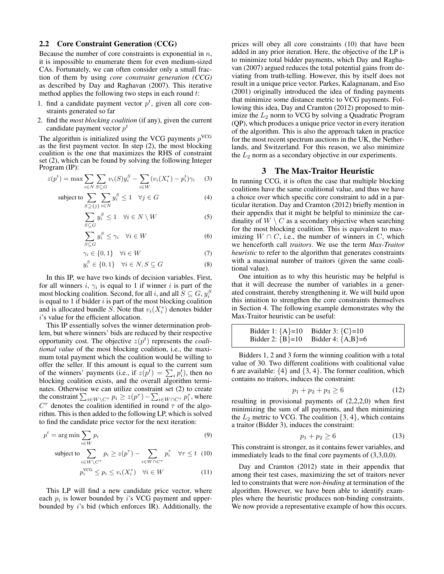#### 2.2 Core Constraint Generation (CCG)

Because the number of core constraints is exponential in  $n$ , it is impossible to enumerate them for even medium-sized CAs. Fortunately, we can often consider only a small fraction of them by using *core constraint generation (CCG)* as described by Day and Raghavan (2007). This iterative method applies the following two steps in each round  $t$ :

- 1. find a candidate payment vector  $p<sup>t</sup>$ , given all core constraints generated so far
- 2. find the *most blocking coalition* (if any), given the current candidate payment vector  $p^t$

The algorithm is initialized using the VCG payments  $p<sup>VCG</sup>$ as the first payment vector. In step (2), the most blocking coalition is the one that maximizes the RHS of constraint set (2), which can be found by solving the following Integer Program (IP):

$$
z(p^{t}) = \max \sum_{i \in N} \sum_{S \subseteq G} v_{i}(S) y_{i}^{S} - \sum_{i \in W} (v_{i}(X_{i}^{*}) - p_{i}^{t}) \gamma_{i} \tag{3}
$$

subject to 
$$
\sum_{S \supseteq \{j\}} \sum_{i \in N} y_i^S \le 1 \quad \forall j \in G
$$
 (4)

$$
\sum_{S \subseteq G} y_i^S \le 1 \quad \forall i \in N \setminus W \tag{5}
$$

$$
\sum_{S \subseteq G} y_i^S \le \gamma_i \quad \forall i \in W \tag{6}
$$

$$
\gamma_i \in \{0, 1\} \quad \forall i \in W \tag{7}
$$

$$
y_i^S \in \{0, 1\} \quad \forall i \in N, S \subseteq G \tag{8}
$$

In this IP, we have two kinds of decision variables. First, for all winners *i*,  $\gamma_i$  is equal to 1 if winner *i* is part of the most blocking coalition. Second, for all i, and all  $S \subseteq G, y_i^S$ is equal to 1 if bidder  $i$  is part of the most blocking coalition and is allocated bundle S. Note that  $v_i(X_i^*)$  denotes bidder i's value for the efficient allocation.

This IP essentially solves the winner determination problem, but where winners' bids are reduced by their respective opportunity cost. The objective  $z(p^t)$  represents the *coalitional value* of the most blocking coalition, i.e., the maximum total payment which the coalition would be willing to offer the seller. If this amount is equal to the current sum of the winners' payments (i.e., if  $z(p^t) = \sum_i p_i^t$ ), then no blocking coalition exists, and the overall algorithm terminates. Otherwise we can utilize constraint set (2) to create the constraint  $\sum_{i\in W\setminus C^\tau} p_i \ge z(p^\tau) - \sum_{i\in W\cap C^\tau} p_i^\tau$ , where  $C^{\tau}$  denotes the coalition identified in round  $\tau$  of the algorithm. This is then added to the following LP, which is solved to find the candidate price vector for the next iteration:

$$
p^t = \arg\min \sum_{i \in W} p_i \tag{9}
$$

subject to 
$$
\sum_{i \in W \setminus C^{\tau}} p_i \ge z(p^{\tau}) - \sum_{i \in W \cap C^{\tau}} p_i^{\tau} \quad \forall \tau \le t \quad (10)
$$

$$
p_i^{\text{VCG}} \le p_i \le v_i(X_i^*) \quad \forall i \in W \tag{11}
$$

This LP will find a new candidate price vector, where each  $p_i$  is lower bounded by i's VCG payment and upperbounded by i's bid (which enforces IR). Additionally, the

prices will obey all core constraints (10) that have been added in any prior iteration. Here, the objective of the LP is to minimize total bidder payments, which Day and Raghavan (2007) argued reduces the total potential gains from deviating from truth-telling. However, this by itself does not result in a unique price vector. Parkes, Kalagnanam, and Eso (2001) originally introduced the idea of finding payments that minimize some distance metric to VCG payments. Following this idea, Day and Cramton (2012) proposed to minimize the  $L_2$  norm to VCG by solving a Quadratic Program (QP), which produces a unique price vector in every iteration of the algorithm. This is also the approach taken in practice for the most recent spectrum auctions in the UK, the Netherlands, and Switzerland. For this reason, we also minimize the  $L_2$  norm as a secondary objective in our experiments.

## 3 The Max-Traitor Heuristic

In running CCG, it is often the case that multiple blocking coalitions have the same coalitional value, and thus we have a choice over which specific core constraint to add in a particular iteration. Day and Cramton (2012) briefly mention in their appendix that it might be helpful to minimize the cardinality of  $W \setminus C$  as a secondary objective when searching for the most blocking coalition. This is equivalent to maximizing  $W \cap C$ , i.e., the number of winners in C, which we henceforth call *traitors*. We use the term *Max-Traitor heuristic* to refer to the algorithm that generates constraints with a maximal number of traitors (given the same coalitional value).

One intuition as to why this heuristic may be helpful is that it will decrease the number of variables in a generated constraint, thereby strengthening it. We will build upon this intuition to strengthen the core constraints themselves in Section 4. The following example demonstrates why the Max-Traitor heuristic can be useful:

Bidder 1: 
$$
\{A\}=10
$$
 Bidder 3:  $\{C\}=10$   
Bidder 2:  $\{B\}=10$  Bidder 4:  $\{A,B\}=6$ 

Bidders 1, 2 and 3 form the winning coalition with a total value of 30. Two different coalitions with coalitional value 6 are available:  $\{4\}$  and  $\{3, 4\}$ . The former coalition, which contains no traitors, induces the constraint:

$$
p_1 + p_2 + p_3 \ge 6 \tag{12}
$$

resulting in provisional payments of (2,2,2,0) when first minimizing the sum of all payments, and then minimizing the  $L_2$  metric to VCG. The coalition  $\{3, 4\}$ , which contains a traitor (Bidder 3), induces the constraint:

$$
p_1 + p_2 \ge 6\tag{13}
$$

This constraint is stronger, as it contains fewer variables, and immediately leads to the final core payments of (3,3,0,0).

Day and Cramton (2012) state in their appendix that among their test cases, maximizing the set of traitors never led to constraints that were *non-binding* at termination of the algorithm. However, we have been able to identify examples where the heuristic produces non-binding constraints. We now provide a representative example of how this occurs.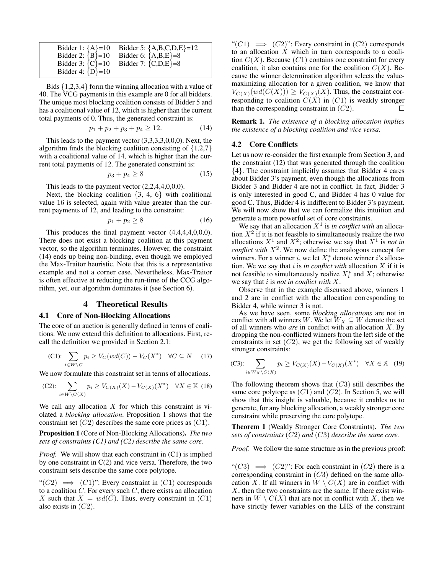| Bidder 1: ${A} = 10$                         | Bidder 5: ${A,B,C,D,E} = 12$ |
|----------------------------------------------|------------------------------|
| Bidder 2: ${B} = 10$                         | Bidder 6: ${A,B,E} = 8$      |
| Bidder 3: ${C} = 10$<br>Bidder 4: ${D} = 10$ | Bidder 7: ${C,D,E} = 8$      |

Bids {1,2,3,4} form the winning allocation with a value of 40. The VCG payments in this example are 0 for all bidders. The unique most blocking coalition consists of Bidder 5 and has a coalitional value of 12, which is higher than the current total payments of 0. Thus, the generated constraint is:

$$
p_1 + p_2 + p_3 + p_4 \ge 12. \tag{14}
$$

This leads to the payment vector (3,3,3,3,0,0,0). Next, the algorithm finds the blocking coalition consisting of  $\{1,2,7\}$ with a coalitional value of 14, which is higher than the current total payments of 12. The generated constraint is:

$$
p_3 + p_4 \ge 8\tag{15}
$$

This leads to the payment vector  $(2,2,4,4,0,0,0)$ .

Next, the blocking coalition  $\{3, 4, 6\}$  with coalitional value 16 is selected, again with value greater than the current payments of 12, and leading to the constraint:

$$
p_1 + p_2 \ge 8\tag{16}
$$

This produces the final payment vector (4,4,4,4,0,0,0). There does not exist a blocking coalition at this payment vector, so the algorithm terminates. However, the constraint (14) ends up being non-binding, even though we employed the Max-Traitor heuristic. Note that this is a representative example and not a corner case. Nevertheless, Max-Traitor is often effective at reducing the run-time of the CCG algorithm, yet, our algorithm dominates it (see Section 6).

## 4 Theoretical Results

#### 4.1 Core of Non-Blocking Allocations

The core of an auction is generally defined in terms of coalitions. We now extend this definition to allocations. First, recall the definition we provided in Section 2.1:

$$
\text{(C1): } \sum_{i \in W \setminus C} p_i \ge V_C(wd(C)) - V_C(X^*) \quad \forall C \subseteq N \quad (17)
$$

We now formulate this constraint set in terms of allocations.

(C2): 
$$
\sum_{i \in W \setminus C(X)} p_i \ge V_{C(X)}(X) - V_{C(X)}(X^*) \quad \forall X \in \mathbb{X}
$$
 (18)

We call any allocation  $X$  for which this constraint is violated a *blocking allocation*. Proposition 1 shows that the constraint set  $(C2)$  describes the same core prices as  $(C1)$ .

Proposition 1 (Core of Non-Blocking Allocations). *The two sets of constraints (C1) and (C2) describe the same core.*

*Proof.* We will show that each constraint in  $(C1)$  is implied by one constraint in  $C(2)$  and vice versa. Therefore, the two constraint sets describe the same core polytope.

" $(C2) \implies (C1)$ ": Every constraint in  $(C1)$  corresponds to a coalition  $C$ . For every such  $C$ , there exists an allocation X such that  $X = wd(C)$ . Thus, every constraint in  $(C1)$ also exists in  $(C2)$ .

" $(C1) \implies (C2)$ ": Every constraint in  $(C2)$  corresponds to an allocation  $X$  which in turn corresponds to a coalition  $C(X)$ . Because  $(C1)$  contains one constraint for every coalition, it also contains one for the coalition  $C(X)$ . Because the winner determination algorithm selects the valuemaximizing allocation for a given coalition, we know that  $V_{C(X)}(wd(C(X))) \geq V_{C(X)}(X)$ . Thus, the constraint corresponding to coalition  $C(X)$  in  $(C1)$  is weakly stronger than the corresponding constraint in  $(C2)$ . П

Remark 1. *The existence of a blocking allocation implies the existence of a blocking coalition and vice versa.*

## 4.2 Core Conflicts

Let us now re-consider the first example from Section 3, and the constraint (12) that was generated through the coalition {4}. The constraint implicitly assumes that Bidder 4 cares about Bidder 3's payment, even though the allocations from Bidder 3 and Bidder 4 are not in conflict. In fact, Bidder 3 is only interested in good C, and Bidder 4 has 0 value for good C. Thus, Bidder 4 is indifferent to Bidder 3's payment. We will now show that we can formalize this intuition and generate a more powerful set of core constraints.

We say that an allocation  $X<sup>1</sup>$  is *in conflict with* an allocation  $X^2$  if it is not feasible to simultaneously realize the two allocations  $X^1$  and  $X^2$ ; otherwise we say that  $X^1$  is *not in conflict with*  $X^2$ . We now define the analogous concept for winners. For a winner i, we let  $X_i^*$  denote winner i's allocation. We we say that  $i$  is *in conflict with* allocation  $X$  if it is not feasible to simultaneously realize  $X_i^*$  and  $X$ ; otherwise we say that i is *not in conflict with* X.

Observe that in the example discussed above, winners 1 and 2 are in conflict with the allocation corresponding to Bidder 4, while winner 3 is not.

As we have seen, some *blocking allocations* are not in conflict with all winners W. We let  $W_X \subseteq W$  denote the set of all winners who *are* in conflict with an allocation X. By dropping the non-conflicted winners from the left side of the constraints in set  $(C2)$ , we get the following set of weakly stronger constraints:

(C3): 
$$
\sum_{i \in W_X \setminus C(X)} p_i \ge V_{C(X)}(X) - V_{C(X)}(X^*) \quad \forall X \in \mathbb{X} \quad (19)
$$

The following theorem shows that  $(C3)$  still describes the same core polytope as  $(C1)$  and  $(C2)$ . In Section 5, we will show that this insight is valuable, because it enables us to generate, for any blocking allocation, a weakly stronger core constraint while preserving the core polytope.

Theorem 1 (Weakly Stronger Core Constraints). *The two sets of constraints* (C2) *and* (C3) *describe the same core.*

*Proof.* We follow the same structure as in the previous proof:

" $(C3) \implies (C2)$ ": For each constraint in  $(C2)$  there is a corresponding constraint in  $(C3)$  defined on the same allocation X. If all winners in  $W \setminus C(X)$  are in conflict with  $X$ , then the two constraints are the same. If there exist winners in  $W \setminus C(X)$  that are not in conflict with X, then we have strictly fewer variables on the LHS of the constraint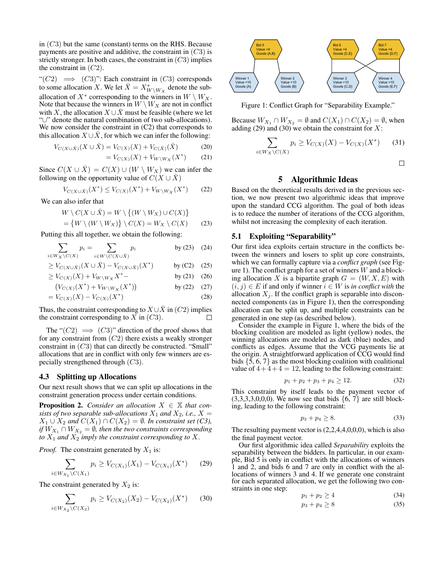in  $(C3)$  but the same (constant) terms on the RHS. Because payments are positive and additive, the constraint in  $(C3)$  is strictly stronger. In both cases, the constraint in  $(C3)$  implies the constraint in  $(C2)$ .

" $(C2) \implies (C3)$ ": Each constraint in  $(C3)$  corresponds to some allocation X. We let  $\bar{X} = X^*_{W\setminus W_X}$  denote the suballocation of  $X^*$  corresponding to the winners in  $W \setminus W_X$ . Note that because the winners in  $W \setminus W_X$  are not in conflict with X, the allocation  $X \cup \overline{X}$  must be feasible (where we let "∪" denote the natural combination of two sub-allocations). We now consider the constraint in (C2) that corresponds to this allocation  $X \cup \overline{X}$ , for which we can infer the following:

$$
V_{C(X \cup \bar{X})}(X \cup \bar{X}) = V_{C(X)}(X) + V_{C(\bar{X})}(\bar{X})
$$
(20)

$$
= V_{C(X)}(X) + V_{W\setminus W_X}(X^*) \tag{21}
$$

Since  $C(X \cup X) = C(X) \cup (W \setminus W_X)$  we can infer the following on the opportunity value of  $C(X \cup \overline{X})$ 

$$
V_{C(X \cup \bar{X})}(X^*) \le V_{C(X)}(X^*) + V_{W \setminus W_X}(X^*) \tag{22}
$$

We can also infer that

$$
W \setminus C(X \cup \bar{X}) = W \setminus \{(W \setminus W_X) \cup C(X)\}
$$
  
=  $\{W \setminus (W \setminus W_X)\} \setminus C(X) = W_X \setminus C(X)$  (2)

$$
= \{ W \setminus (W \setminus W_X) \} \setminus C(X) = W_X \setminus C(X) \qquad (23)
$$

Putting this all together, we obtain the following:

$$
\sum_{i \in W_X \setminus C(X)} p_i = \sum_{i \in W \setminus C(X \cup \bar{X})} p_i \qquad \text{by (23) (24)}
$$

$$
\geq V_{C(X \cup \bar{X})}(X \cup \bar{X}) - V_{C(X \cup \bar{X})}(X^*) \qquad \text{by (C2)} \quad (25)
$$

$$
\geq V_{C(X)}(X) + V_{W \setminus W_X}X^* - \qquad \qquad \text{by (21)} \quad (26)
$$

$$
(V_{C(X)}(X^*) + V_{W\setminus W_X}(X^*))
$$
 by (22) (27)  
=  $V_{C(X)}(X) - V_{C(X)}(X^*)$  (28)

Thus, the constraint corresponding to  $X \cup \overline{X}$  in (C2) implies the constraint corresponding to X in  $(C3)$ .

The " $(C2) \implies (C3)$ " direction of the proof shows that for any constraint from  $(C2)$  there exists a weakly stronger constraint in (C3) that can directly be constructed. "Small" allocations that are in conflict with only few winners are especially strengthened through (C3).

### 4.3 Splitting up Allocations

Our next result shows that we can split up allocations in the constraint generation process under certain conditions.

**Proposition 2.** *Consider an allocation*  $X \in \mathbb{X}$  *that consists of two separable sub-allocations*  $X_1$  *and*  $X_2$ *, i.e.,*  $X =$  $X_1 \cup X_2$  and  $C(X_1) \cap C(X_2) = \emptyset$ . In constraint set (C3), *if*  $W_{X_1} \cap W_{X_2} = \emptyset$ , then the two constraints corresponding *to*  $X_1$  *and*  $X_2$  *imply the constraint corresponding to*  $X$ *.* 

*Proof.* The constraint generated by  $X_1$  is:

$$
\sum_{i \in W_{X_1} \backslash C(X_1)} p_i \ge V_{C(X_1)}(X_1) - V_{C(X_1)}(X^*) \tag{29}
$$

The constraint generated by  $X_2$  is:

$$
\sum_{i \in W_{X_2} \backslash C(X_2)} p_i \ge V_{C(X_2)}(X_2) - V_{C(X_2)}(X^*)
$$
 (30)



Figure 1: Conflict Graph for "Separability Example."

Because  $W_{X_1} \cap W_{X_2} = \emptyset$  and  $C(X_1) \cap C(X_2) = \emptyset$ , when adding (29) and (30) we obtain the constraint for  $X$ :

$$
\sum_{i \in W_X \setminus C(X)} p_i \ge V_{C(X)}(X) - V_{C(X)}(X^*) \tag{31}
$$

 $\Box$ 

## 5 Algorithmic Ideas

Based on the theoretical results derived in the previous section, we now present two algorithmic ideas that improve upon the standard CCG algorithm. The goal of both ideas is to reduce the number of iterations of the CCG algorithm, whilst not increasing the complexity of each iteration.

## 5.1 Exploiting "Separability"

Our first idea exploits certain structure in the conflicts between the winners and losers to split up core constraints, which we can formally capture via a *conflict graph* (see Figure 1). The conflict graph for a set of winners  $W$  and a blocking allocation X is a bipartite graph  $G = (W, X, E)$  with  $(i, j) \in E$  if and only if winner  $i \in W$  is *in conflict with* the allocation  $X_i$ . If the conflict graph is separable into disconnected components (as in Figure 1), then the corresponding allocation can be split up, and multiple constraints can be generated in one step (as described below).

Consider the example in Figure 1, where the bids of the blocking coalition are modeled as light (yellow) nodes, the winning allocations are modeled as dark (blue) nodes, and conflicts as edges. Assume that the VCG payments lie at the origin. A straightforward application of CCG would find bids  $\{5, 6, 7\}$  as the most blocking coalition with coalitional value of  $4+4+4=12$ , leading to the following constraint:

$$
p_1 + p_2 + p_3 + p_4 \ge 12. \tag{32}
$$

This constraint by itself leads to the payment vector of  $(3,3,3,3,0,0,0)$ . We now see that bids  $\{6, 7\}$  are still blocking, leading to the following constraint:

$$
p_3 + p_4 \ge 8. \tag{33}
$$

The resulting payment vector is  $(2,2,4,4,0,0,0)$ , which is also the final payment vector.

Our first algorithmic idea called *Separability* exploits the separability between the bidders. In particular, in our example, Bid 5 is only in conflict with the allocations of winners 1 and 2, and bids 6 and 7 are only in conflict with the allocations of winners 3 and 4. If we generate one constraint for each separated allocation, we get the following two constraints in one step:

$$
p_1 + p_2 \ge 4 \tag{34}
$$

$$
p_3 + p_4 \ge 8\tag{35}
$$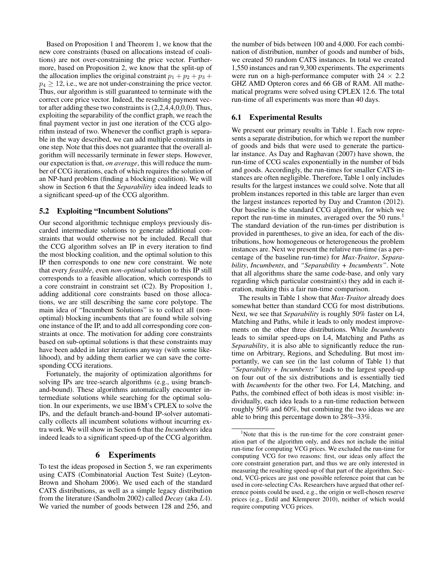Based on Proposition 1 and Theorem 1, we know that the new core constraints (based on allocations instead of coalitions) are not over-constraining the price vector. Furthermore, based on Proposition 2, we know that the split-up of the allocation implies the original constraint  $p_1 + p_2 + p_3 + p_4$  $p_4 \geq 12$ , i.e., we are not under-constraining the price vector. Thus, our algorithm is still guaranteed to terminate with the correct core price vector. Indeed, the resulting payment vector after adding these two constraints is (2,2,4,4,0,0,0). Thus, exploiting the separability of the conflict graph, we reach the final payment vector in just one iteration of the CCG algorithm instead of two. Whenever the conflict graph is separable in the way described, we can add multiple constraints in one step. Note that this does not guarantee that the overall algorithm will necessarily terminate in fewer steps. However, our expectation is that, *on average*, this will reduce the number of CCG iterations, each of which requires the solution of an NP-hard problem (finding a blocking coalition). We will show in Section 6 that the *Separability* idea indeed leads to a significant speed-up of the CCG algorithm.

## 5.2 Exploiting "Incumbent Solutions"

Our second algorithmic technique employs previously discarded intermediate solutions to generate additional constraints that would otherwise not be included. Recall that the CCG algorithm solves an IP in every iteration to find the most blocking coalition, and the optimal solution to this IP then corresponds to one new core constraint. We note that every *feasible*, even *non-optimal* solution to this IP still corresponds to a feasible allocation, which corresponds to a core constraint in constraint set (C2). By Proposition 1, adding additional core constraints based on those allocations, we are still describing the same core polytope. The main idea of "Incumbent Solutions" is to collect all (nonoptimal) blocking incumbents that are found while solving one instance of the IP, and to add all corresponding core constraints at once. The motivation for adding core constraints based on sub-optimal solutions is that these constraints may have been added in later iterations anyway (with some likelihood), and by adding them earlier we can save the corresponding CCG iterations.

Fortunately, the majority of optimization algorithms for solving IPs are tree-search algorithms (e.g., using branchand-bound). These algorithms automatically encounter intermediate solutions while searching for the optimal solution. In our experiments, we use IBM's CPLEX to solve the IPs, and the default branch-and-bound IP-solver automatically collects all incumbent solutions without incurring extra work. We will show in Section 6 that the *Incumbents* idea indeed leads to a significant speed-up of the CCG algorithm.

## 6 Experiments

To test the ideas proposed in Section 5, we ran experiments using CATS (Combinatorial Auction Test Suite) (Leyton-Brown and Shoham 2006). We used each of the standard CATS distributions, as well as a simple legacy distribution from the literature (Sandholm 2002) called *Decay* (aka L4). We varied the number of goods between 128 and 256, and

the number of bids between 100 and 4,000. For each combination of distribution, number of goods and number of bids, we created 50 random CATS instances. In total we created 1,550 instances and ran 9,300 experiments. The experiments were run on a high-performance computer with  $24 \times 2.2$ GHZ AMD Opteron cores and 66 GB of RAM. All mathematical programs were solved using CPLEX 12.6. The total run-time of all experiments was more than 40 days.

## 6.1 Experimental Results

We present our primary results in Table 1. Each row represents a separate distribution, for which we report the number of goods and bids that were used to generate the particular instance. As Day and Raghavan (2007) have shown, the run-time of CCG scales exponentially in the number of bids and goods. Accordingly, the run-times for smaller CATS instances are often negligible. Therefore, Table 1 only includes results for the largest instances we could solve. Note that all problem instances reported in this table are larger than even the largest instances reported by Day and Cramton (2012). Our baseline is the standard CCG algorithm, for which we report the run-time in minutes, averaged over the 50 runs.<sup>1</sup> The standard deviation of the run-times per distribution is provided in parentheses, to give an idea, for each of the distributions, how homogeneous or heterogeneous the problem instances are. Next we present the relative run-time (as a percentage of the baseline run-time) for *Max-Traitor*, *Separability*, *Incumbents*, and *"Separability + Incumbents"*. Note that all algorithms share the same code-base, and only vary regarding which particular constraint(s) they add in each iteration, making this a fair run-time comparison.

The results in Table 1 show that *Max-Traitor* already does somewhat better than standard CCG for most distributions. Next, we see that *Separability* is roughly 50% faster on L4, Matching and Paths, while it leads to only modest improvements on the other three distributions. While *Incumbents* leads to similar speed-ups on L4, Matching and Paths as *Separability*, it is also able to significantly reduce the runtime on Arbitrary, Regions, and Scheduling. But most importantly, we can see (in the last column of Table 1) that *"Separability + Incumbents"* leads to the largest speed-up on four out of the six distributions and is essentially tied with *Incumbents* for the other two. For L4, Matching, and Paths, the combined effect of both ideas is most visible: individually, each idea leads to a run-time reduction between roughly 50% and 60%, but combining the two ideas we are able to bring this percentage down to 28%–33%.

 $1$ Note that this is the run-time for the core constraint generation part of the algorithm only, and does not include the initial run-time for computing VCG prices. We excluded the run-time for computing VCG for two reasons: first, our ideas only affect the core constraint generation part, and thus we are only interested in measuring the resulting speed-up of that part of the algorithm. Second, VCG-prices are just one possible reference point that can be used in core-selecting CAs. Researchers have argued that other reference points could be used, e.g., the origin or well-chosen reserve prices (e.g., Erdil and Klemperer 2010), neither of which would require computing VCG prices.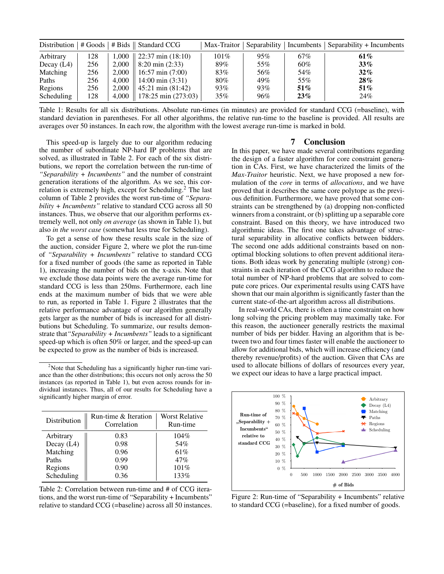|              |     |       | Distribution   # Goods   # Bids    Standard CCG |         |     |        | Max-Traitor   Separability   Incumbents   Separability + Incumbents |
|--------------|-----|-------|-------------------------------------------------|---------|-----|--------|---------------------------------------------------------------------|
| Arbitrary    | 128 | 1.000 | $\vert$ 22:37 min (18:10)                       | $101\%$ | 95% | 67%    | 61%                                                                 |
| Decay $(L4)$ | 256 | 2.000 | $8:20 \text{ min } (2:33)$                      | 89%     | 55% | 60%    | $33\%$                                                              |
| Matching     | 256 | 2.000 | $16:57 \text{ min} (7:00)$                      | 83%     | 56% | 54%    | $32\%$                                                              |
| Paths        | 256 | 4.000 | $14:00 \text{ min } (3:31)$                     | 80%     | 49% | 55%    | $28\%$                                                              |
| Regions      | 256 | 2.000 | $45:21 \text{ min } (81:42)$                    | 93%     | 93% | $51\%$ | $51\%$                                                              |
| Scheduling   | 128 | 4.000 | $178:25 \text{ min } (273:03)^{-1}$             | 35%     | 96% | 23%    | 24%                                                                 |

Table 1: Results for all six distributions. Absolute run-times (in minutes) are provided for standard CCG (=baseline), with standard deviation in parentheses. For all other algorithms, the relative run-time to the baseline is provided. All results are averages over 50 instances. In each row, the algorithm with the lowest average run-time is marked in bold.

This speed-up is largely due to our algorithm reducing the number of subordinate NP-hard IP problems that are solved, as illustrated in Table 2. For each of the six distributions, we report the correlation between the run-time of *"Separability + Incumbents"* and the number of constraint generation iterations of the algorithm. As we see, this correlation is extremely high, except for Scheduling.<sup>2</sup> The last column of Table 2 provides the worst run-time of *"Separability + Incumbents"* relative to standard CCG across all 50 instances. Thus, we observe that our algorithm performs extremely well, not only *on average* (as shown in Table 1), but also *in the worst case* (somewhat less true for Scheduling).

To get a sense of how these results scale in the size of the auction, consider Figure 2, where we plot the run-time of *"Separability + Incumbents"* relative to standard CCG for a fixed number of goods (the same as reported in Table 1), increasing the number of bids on the x-axis. Note that we exclude those data points were the average run-time for standard CCG is less than 250ms. Furthermore, each line ends at the maximum number of bids that we were able to run, as reported in Table 1. Figure 2 illustrates that the relative performance advantage of our algorithm generally gets larger as the number of bids is increased for all distributions but Scheduling. To summarize, our results demonstrate that*"Separability + Incumbents"* leads to a significant speed-up which is often 50% or larger, and the speed-up can be expected to grow as the number of bids is increased.

<sup>2</sup>Note that Scheduling has a significantly higher run-time variance than the other distributions; this occurs not only across the 50 instances (as reported in Table 1), but even across rounds for individual instances. Thus, all of our results for Scheduling have a significantly higher margin of error.

| Distribution | Run-time & Iteration<br>Correlation | Worst Relative<br>Run-time |  |
|--------------|-------------------------------------|----------------------------|--|
| Arbitrary    | 0.83                                | $104\%$                    |  |
| Decay (L4)   | 0.98                                | 54%                        |  |
| Matching     | 0.96                                | 61\%                       |  |
| Paths        | 0.99                                | 47%                        |  |
| Regions      | 0.90                                | 101%                       |  |
| Scheduling   | 0.36                                | 133%                       |  |

Table 2: Correlation between run-time and # of CCG iterations, and the worst run-time of "Separability + Incumbents" relative to standard CCG (=baseline) across all 50 instances.

## 7 Conclusion

In this paper, we have made several contributions regarding the design of a faster algorithm for core constraint generation in CAs. First, we have characterized the limits of the *Max-Traitor* heuristic. Next, we have proposed a new formulation of the *core* in terms of *allocations*, and we have proved that it describes the same core polytope as the previous definition. Furthermore, we have proved that some constraints can be strengthened by (a) dropping non-conflicted winners from a constraint, or (b) splitting up a separable core constraint. Based on this theory, we have introduced two algorithmic ideas. The first one takes advantage of structural separability in allocative conflicts between bidders. The second one adds additional constraints based on nonoptimal blocking solutions to often prevent additional iterations. Both ideas work by generating multiple (strong) constraints in each iteration of the CCG algorithm to reduce the total number of NP-hard problems that are solved to compute core prices. Our experimental results using CATS have shown that our main algorithm is significantly faster than the current state-of-the-art algorithm across all distributions.

In real-world CAs, there is often a time constraint on how long solving the pricing problem may maximally take. For this reason, the auctioneer generally restricts the maximal number of bids per bidder. Having an algorithm that is between two and four times faster will enable the auctioneer to allow for additional bids, which will increase efficiency (and thereby revenue/profits) of the auction. Given that CAs are used to allocate billions of dollars of resources every year, we expect our ideas to have a large practical impact.



Figure 2: Run-time of "Separability + Incumbents" relative to standard CCG (=baseline), for a fixed number of goods.